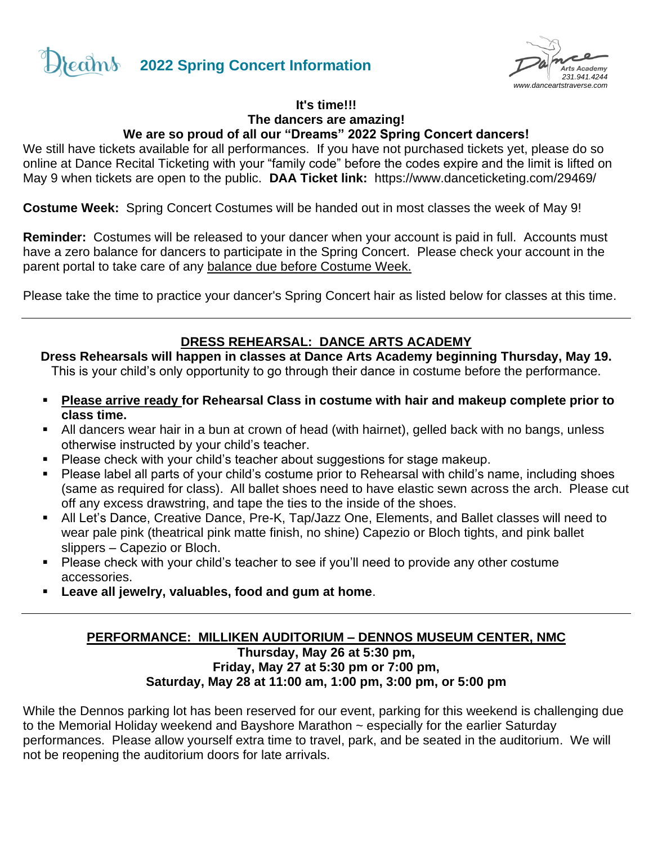



#### **It's time!!! The dancers are amazing! We are so proud of all our "Dreams" 2022 Spring Concert dancers!**

We still have tickets available for all performances. If you have not purchased tickets yet, please do so online at Dance Recital Ticketing with your "family code" before the codes expire and the limit is lifted on May 9 when tickets are open to the public. **DAA Ticket link:** <https://www.danceticketing.com/29469/>

**Costume Week:** Spring Concert Costumes will be handed out in most classes the week of May 9!

**Reminder:** Costumes will be released to your dancer when your account is paid in full. Accounts must have a zero balance for dancers to participate in the Spring Concert. Please check your account in the parent portal to take care of any balance due before Costume Week.

Please take the time to practice your dancer's Spring Concert hair as listed below for classes at this time.

# **DRESS REHEARSAL: DANCE ARTS ACADEMY**

**Dress Rehearsals will happen in classes at Dance Arts Academy beginning Thursday, May 19.** This is your child's only opportunity to go through their dance in costume before the performance.

- **Please arrive ready for Rehearsal Class in costume with hair and makeup complete prior to class time.**
- All dancers wear hair in a bun at crown of head (with hairnet), gelled back with no bangs, unless otherwise instructed by your child's teacher.
- Please check with your child's teacher about suggestions for stage makeup.
- Please label all parts of your child's costume prior to Rehearsal with child's name, including shoes (same as required for class). All ballet shoes need to have elastic sewn across the arch. Please cut off any excess drawstring, and tape the ties to the inside of the shoes.
- All Let's Dance, Creative Dance, Pre-K, Tap/Jazz One, Elements, and Ballet classes will need to wear pale pink (theatrical pink matte finish, no shine) Capezio or Bloch tights, and pink ballet slippers – Capezio or Bloch.
- Please check with your child's teacher to see if you'll need to provide any other costume accessories.
- **Leave all jewelry, valuables, food and gum at home.**

### **PERFORMANCE: MILLIKEN AUDITORIUM – DENNOS MUSEUM CENTER, NMC Thursday, May 26 at 5:30 pm, Friday, May 27 at 5:30 pm or 7:00 pm, Saturday, May 28 at 11:00 am, 1:00 pm, 3:00 pm, or 5:00 pm**

While the Dennos parking lot has been reserved for our event, parking for this weekend is challenging due to the Memorial Holiday weekend and Bayshore Marathon ~ especially for the earlier Saturday performances. Please allow yourself extra time to travel, park, and be seated in the auditorium. We will not be reopening the auditorium doors for late arrivals.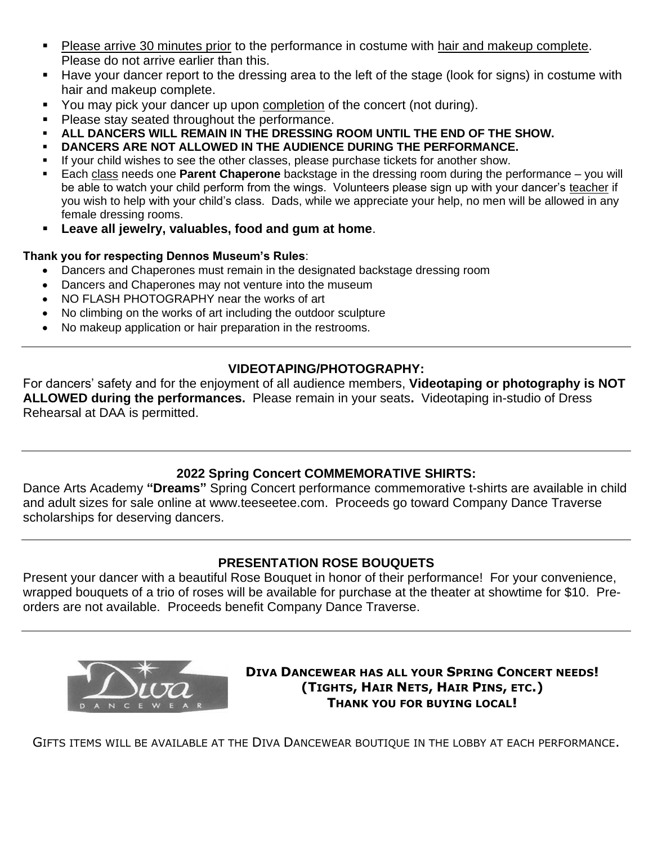- Please arrive 30 minutes prior to the performance in costume with hair and makeup complete. Please do not arrive earlier than this.
- Have your dancer report to the dressing area to the left of the stage (look for signs) in costume with hair and makeup complete.
- You may pick your dancer up upon completion of the concert (not during).
- Please stay seated throughout the performance.
- ALL DANCERS WILL REMAIN IN THE DRESSING ROOM UNTIL THE END OF THE SHOW.
- **DANCERS ARE NOT ALLOWED IN THE AUDIENCE DURING THE PERFORMANCE.**
- If your child wishes to see the other classes, please purchase tickets for another show.
- Each class needs one **Parent Chaperone** backstage in the dressing room during the performance you will be able to watch your child perform from the wings. Volunteers please sign up with your dancer's teacher if you wish to help with your child's class. Dads, while we appreciate your help, no men will be allowed in any female dressing rooms.
- **Leave all jewelry, valuables, food and gum at home**.

### **Thank you for respecting Dennos Museum's Rules**:

- Dancers and Chaperones must remain in the designated backstage dressing room
- Dancers and Chaperones may not venture into the museum
- NO FLASH PHOTOGRAPHY near the works of art
- No climbing on the works of art including the outdoor sculpture
- No makeup application or hair preparation in the restrooms.

# **VIDEOTAPING/PHOTOGRAPHY:**

For dancers' safety and for the enjoyment of all audience members, **Videotaping or photography is NOT ALLOWED during the performances.** Please remain in your seats**.** Videotaping in-studio of Dress Rehearsal at DAA is permitted.

# **2022 Spring Concert COMMEMORATIVE SHIRTS:**

Dance Arts Academy **"Dreams"** Spring Concert performance commemorative t-shirts are available in child and adult sizes for sale online at www.teeseetee.com. Proceeds go toward Company Dance Traverse scholarships for deserving dancers.

### **PRESENTATION ROSE BOUQUETS**

Present your dancer with a beautiful Rose Bouquet in honor of their performance! For your convenience, wrapped bouquets of a trio of roses will be available for purchase at the theater at showtime for \$10. Preorders are not available. Proceeds benefit Company Dance Traverse.



**DIVA DANCEWEAR HAS ALL YOUR SPRING CONCERT NEEDS! (TIGHTS, HAIR NETS, HAIR PINS, ETC.) THANK YOU FOR BUYING LOCAL!**

GIFTS ITEMS WILL BE AVAILABLE AT THE DIVA DANCEWEAR BOUTIQUE IN THE LOBBY AT EACH PERFORMANCE.